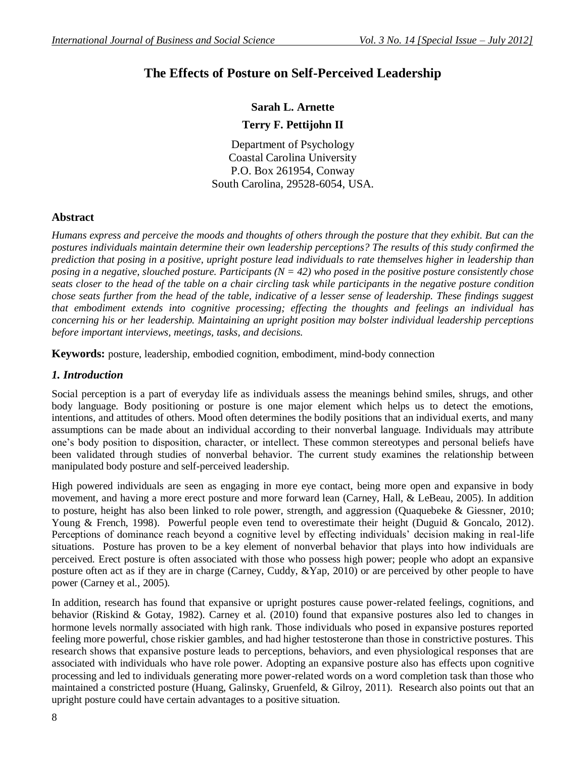# **The Effects of Posture on Self-Perceived Leadership**

## **Sarah L. Arnette Terry F. Pettijohn II**

Department of Psychology Coastal Carolina University P.O. Box 261954, Conway South Carolina, 29528-6054, USA.

## **Abstract**

*Humans express and perceive the moods and thoughts of others through the posture that they exhibit. But can the postures individuals maintain determine their own leadership perceptions? The results of this study confirmed the prediction that posing in a positive, upright posture lead individuals to rate themselves higher in leadership than posing in a negative, slouched posture. Participants (N = 42) who posed in the positive posture consistently chose seats closer to the head of the table on a chair circling task while participants in the negative posture condition chose seats further from the head of the table, indicative of a lesser sense of leadership. These findings suggest that embodiment extends into cognitive processing; effecting the thoughts and feelings an individual has concerning his or her leadership. Maintaining an upright position may bolster individual leadership perceptions before important interviews, meetings, tasks, and decisions.* 

**Keywords:** posture, leadership, embodied cognition, embodiment, mind-body connection

## *1. Introduction*

Social perception is a part of everyday life as individuals assess the meanings behind smiles, shrugs, and other body language. Body positioning or posture is one major element which helps us to detect the emotions, intentions, and attitudes of others. Mood often determines the bodily positions that an individual exerts, and many assumptions can be made about an individual according to their nonverbal language. Individuals may attribute one's body position to disposition, character, or intellect. These common stereotypes and personal beliefs have been validated through studies of nonverbal behavior. The current study examines the relationship between manipulated body posture and self-perceived leadership.

High powered individuals are seen as engaging in more eye contact, being more open and expansive in body movement, and having a more erect posture and more forward lean (Carney, Hall, & LeBeau, 2005). In addition to posture, height has also been linked to role power, strength, and aggression (Quaquebeke & Giessner, 2010; Young & French, 1998). Powerful people even tend to overestimate their height (Duguid & Goncalo, 2012). Perceptions of dominance reach beyond a cognitive level by effecting individuals' decision making in real-life situations. Posture has proven to be a key element of nonverbal behavior that plays into how individuals are perceived. Erect posture is often associated with those who possess high power; people who adopt an expansive posture often act as if they are in charge (Carney, Cuddy, &Yap, 2010) or are perceived by other people to have power (Carney et al., 2005).

In addition, research has found that expansive or upright postures cause power-related feelings, cognitions, and behavior (Riskind & Gotay, 1982). Carney et al. (2010) found that expansive postures also led to changes in hormone levels normally associated with high rank. Those individuals who posed in expansive postures reported feeling more powerful, chose riskier gambles, and had higher testosterone than those in constrictive postures. This research shows that expansive posture leads to perceptions, behaviors, and even physiological responses that are associated with individuals who have role power. Adopting an expansive posture also has effects upon cognitive processing and led to individuals generating more power-related words on a word completion task than those who maintained a constricted posture (Huang, Galinsky, Gruenfeld, & Gilroy, 2011). Research also points out that an upright posture could have certain advantages to a positive situation.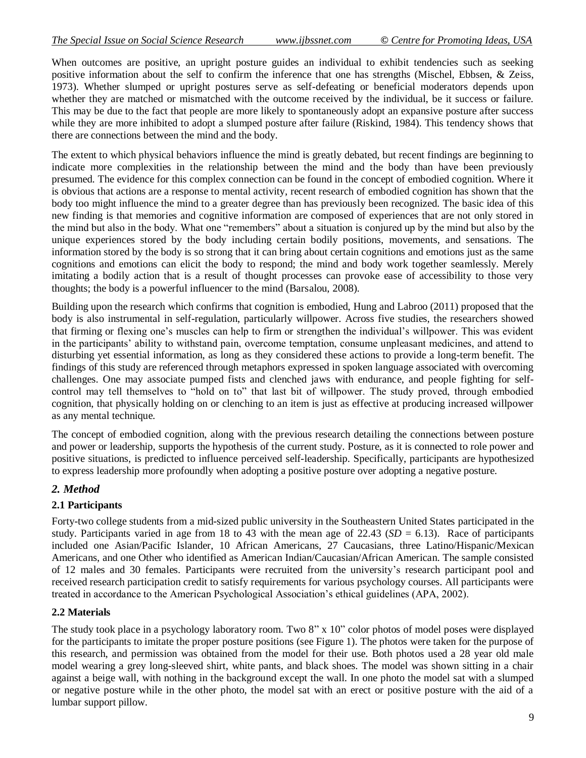When outcomes are positive, an upright posture guides an individual to exhibit tendencies such as seeking positive information about the self to confirm the inference that one has strengths (Mischel, Ebbsen, & Zeiss, 1973). Whether slumped or upright postures serve as self-defeating or beneficial moderators depends upon whether they are matched or mismatched with the outcome received by the individual, be it success or failure. This may be due to the fact that people are more likely to spontaneously adopt an expansive posture after success while they are more inhibited to adopt a slumped posture after failure (Riskind, 1984). This tendency shows that there are connections between the mind and the body.

The extent to which physical behaviors influence the mind is greatly debated, but recent findings are beginning to indicate more complexities in the relationship between the mind and the body than have been previously presumed. The evidence for this complex connection can be found in the concept of embodied cognition. Where it is obvious that actions are a response to mental activity, recent research of embodied cognition has shown that the body too might influence the mind to a greater degree than has previously been recognized. The basic idea of this new finding is that memories and cognitive information are composed of experiences that are not only stored in the mind but also in the body. What one "remembers" about a situation is conjured up by the mind but also by the unique experiences stored by the body including certain bodily positions, movements, and sensations. The information stored by the body is so strong that it can bring about certain cognitions and emotions just as the same cognitions and emotions can elicit the body to respond; the mind and body work together seamlessly. Merely imitating a bodily action that is a result of thought processes can provoke ease of accessibility to those very thoughts; the body is a powerful influencer to the mind (Barsalou, 2008).

Building upon the research which confirms that cognition is embodied, Hung and Labroo (2011) proposed that the body is also instrumental in self-regulation, particularly willpower. Across five studies, the researchers showed that firming or flexing one's muscles can help to firm or strengthen the individual's willpower. This was evident in the participants' ability to withstand pain, overcome temptation, consume unpleasant medicines, and attend to disturbing yet essential information, as long as they considered these actions to provide a long-term benefit. The findings of this study are referenced through metaphors expressed in spoken language associated with overcoming challenges. One may associate pumped fists and clenched jaws with endurance, and people fighting for selfcontrol may tell themselves to "hold on to" that last bit of willpower. The study proved, through embodied cognition, that physically holding on or clenching to an item is just as effective at producing increased willpower as any mental technique.

The concept of embodied cognition, along with the previous research detailing the connections between posture and power or leadership, supports the hypothesis of the current study. Posture, as it is connected to role power and positive situations, is predicted to influence perceived self-leadership. Specifically, participants are hypothesized to express leadership more profoundly when adopting a positive posture over adopting a negative posture.

## *2. Method*

## **2.1 Participants**

Forty-two college students from a mid-sized public university in the Southeastern United States participated in the study. Participants varied in age from 18 to 43 with the mean age of 22.43  $(SD = 6.13)$ . Race of participants included one Asian/Pacific Islander, 10 African Americans, 27 Caucasians, three Latino/Hispanic/Mexican Americans, and one Other who identified as American Indian/Caucasian/African American. The sample consisted of 12 males and 30 females. Participants were recruited from the university's research participant pool and received research participation credit to satisfy requirements for various psychology courses. All participants were treated in accordance to the American Psychological Association's ethical guidelines (APA, 2002).

#### **2.2 Materials**

The study took place in a psychology laboratory room. Two 8" x 10" color photos of model poses were displayed for the participants to imitate the proper posture positions (see Figure 1). The photos were taken for the purpose of this research, and permission was obtained from the model for their use. Both photos used a 28 year old male model wearing a grey long-sleeved shirt, white pants, and black shoes. The model was shown sitting in a chair against a beige wall, with nothing in the background except the wall. In one photo the model sat with a slumped or negative posture while in the other photo, the model sat with an erect or positive posture with the aid of a lumbar support pillow.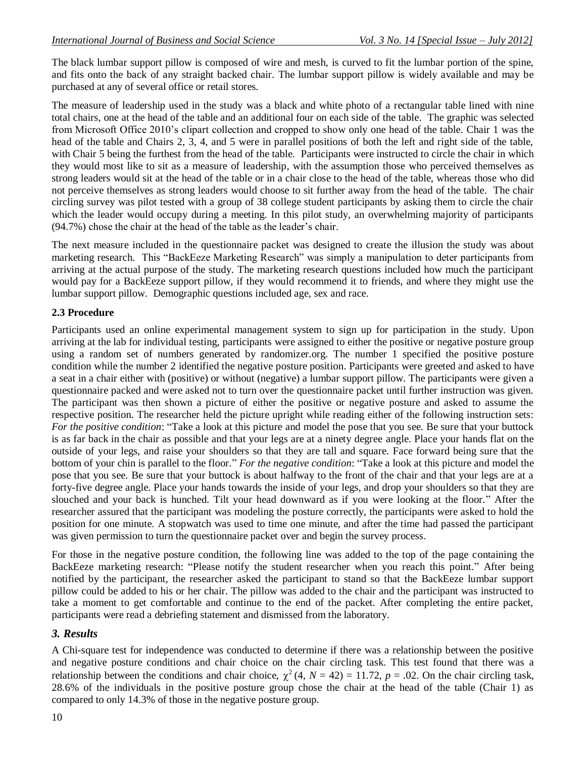The black lumbar support pillow is composed of wire and mesh, is curved to fit the lumbar portion of the spine, and fits onto the back of any straight backed chair. The lumbar support pillow is widely available and may be purchased at any of several office or retail stores.

The measure of leadership used in the study was a black and white photo of a rectangular table lined with nine total chairs, one at the head of the table and an additional four on each side of the table. The graphic was selected from Microsoft Office 2010's clipart collection and cropped to show only one head of the table. Chair 1 was the head of the table and Chairs 2, 3, 4, and 5 were in parallel positions of both the left and right side of the table, with Chair 5 being the furthest from the head of the table. Participants were instructed to circle the chair in which they would most like to sit as a measure of leadership, with the assumption those who perceived themselves as strong leaders would sit at the head of the table or in a chair close to the head of the table, whereas those who did not perceive themselves as strong leaders would choose to sit further away from the head of the table. The chair circling survey was pilot tested with a group of 38 college student participants by asking them to circle the chair which the leader would occupy during a meeting. In this pilot study, an overwhelming majority of participants (94.7%) chose the chair at the head of the table as the leader's chair.

The next measure included in the questionnaire packet was designed to create the illusion the study was about marketing research. This "BackEeze Marketing Research" was simply a manipulation to deter participants from arriving at the actual purpose of the study. The marketing research questions included how much the participant would pay for a BackEeze support pillow, if they would recommend it to friends, and where they might use the lumbar support pillow. Demographic questions included age, sex and race.

## **2.3 Procedure**

Participants used an online experimental management system to sign up for participation in the study. Upon arriving at the lab for individual testing, participants were assigned to either the positive or negative posture group using a random set of numbers generated by randomizer.org. The number 1 specified the positive posture condition while the number 2 identified the negative posture position. Participants were greeted and asked to have a seat in a chair either with (positive) or without (negative) a lumbar support pillow. The participants were given a questionnaire packed and were asked not to turn over the questionnaire packet until further instruction was given. The participant was then shown a picture of either the positive or negative posture and asked to assume the respective position. The researcher held the picture upright while reading either of the following instruction sets: *For the positive condition*: "Take a look at this picture and model the pose that you see. Be sure that your buttock is as far back in the chair as possible and that your legs are at a ninety degree angle. Place your hands flat on the outside of your legs, and raise your shoulders so that they are tall and square. Face forward being sure that the bottom of your chin is parallel to the floor." *For the negative condition*: "Take a look at this picture and model the pose that you see. Be sure that your buttock is about halfway to the front of the chair and that your legs are at a forty-five degree angle. Place your hands towards the inside of your legs, and drop your shoulders so that they are slouched and your back is hunched. Tilt your head downward as if you were looking at the floor." After the researcher assured that the participant was modeling the posture correctly, the participants were asked to hold the position for one minute. A stopwatch was used to time one minute, and after the time had passed the participant was given permission to turn the questionnaire packet over and begin the survey process.

For those in the negative posture condition, the following line was added to the top of the page containing the BackEeze marketing research: "Please notify the student researcher when you reach this point." After being notified by the participant, the researcher asked the participant to stand so that the BackEeze lumbar support pillow could be added to his or her chair. The pillow was added to the chair and the participant was instructed to take a moment to get comfortable and continue to the end of the packet. After completing the entire packet, participants were read a debriefing statement and dismissed from the laboratory.

## *3. Results*

A Chi-square test for independence was conducted to determine if there was a relationship between the positive and negative posture conditions and chair choice on the chair circling task. This test found that there was a relationship between the conditions and chair choice,  $\chi^2$  (4, *N* = 42) = 11.72, *p* = .02. On the chair circling task, 28.6% of the individuals in the positive posture group chose the chair at the head of the table (Chair 1) as compared to only 14.3% of those in the negative posture group.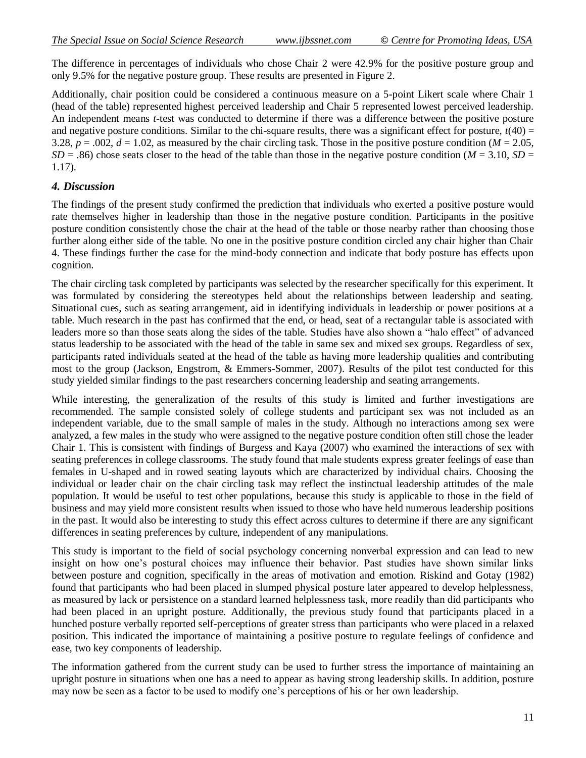The difference in percentages of individuals who chose Chair 2 were 42.9% for the positive posture group and only 9.5% for the negative posture group. These results are presented in Figure 2.

Additionally, chair position could be considered a continuous measure on a 5-point Likert scale where Chair 1 (head of the table) represented highest perceived leadership and Chair 5 represented lowest perceived leadership. An independent means *t*-test was conducted to determine if there was a difference between the positive posture and negative posture conditions. Similar to the chi-square results, there was a significant effect for posture,  $t(40)$  = 3.28,  $p = .002$ ,  $d = 1.02$ , as measured by the chair circling task. Those in the positive posture condition ( $M = 2.05$ ,  $SD = .86$ ) chose seats closer to the head of the table than those in the negative posture condition (*M* = 3.10, *SD* = 1.17).

## *4. Discussion*

The findings of the present study confirmed the prediction that individuals who exerted a positive posture would rate themselves higher in leadership than those in the negative posture condition. Participants in the positive posture condition consistently chose the chair at the head of the table or those nearby rather than choosing those further along either side of the table. No one in the positive posture condition circled any chair higher than Chair 4. These findings further the case for the mind-body connection and indicate that body posture has effects upon cognition.

The chair circling task completed by participants was selected by the researcher specifically for this experiment. It was formulated by considering the stereotypes held about the relationships between leadership and seating. Situational cues, such as seating arrangement, aid in identifying individuals in leadership or power positions at a table. Much research in the past has confirmed that the end, or head, seat of a rectangular table is associated with leaders more so than those seats along the sides of the table. Studies have also shown a "halo effect" of advanced status leadership to be associated with the head of the table in same sex and mixed sex groups. Regardless of sex, participants rated individuals seated at the head of the table as having more leadership qualities and contributing most to the group (Jackson, Engstrom, & Emmers-Sommer, 2007). Results of the pilot test conducted for this study yielded similar findings to the past researchers concerning leadership and seating arrangements.

While interesting, the generalization of the results of this study is limited and further investigations are recommended. The sample consisted solely of college students and participant sex was not included as an independent variable, due to the small sample of males in the study. Although no interactions among sex were analyzed, a few males in the study who were assigned to the negative posture condition often still chose the leader Chair 1. This is consistent with findings of Burgess and Kaya (2007) who examined the interactions of sex with seating preferences in college classrooms. The study found that male students express greater feelings of ease than females in U-shaped and in rowed seating layouts which are characterized by individual chairs. Choosing the individual or leader chair on the chair circling task may reflect the instinctual leadership attitudes of the male population. It would be useful to test other populations, because this study is applicable to those in the field of business and may yield more consistent results when issued to those who have held numerous leadership positions in the past. It would also be interesting to study this effect across cultures to determine if there are any significant differences in seating preferences by culture, independent of any manipulations.

This study is important to the field of social psychology concerning nonverbal expression and can lead to new insight on how one's postural choices may influence their behavior. Past studies have shown similar links between posture and cognition, specifically in the areas of motivation and emotion. Riskind and Gotay (1982) found that participants who had been placed in slumped physical posture later appeared to develop helplessness, as measured by lack or persistence on a standard learned helplessness task, more readily than did participants who had been placed in an upright posture. Additionally, the previous study found that participants placed in a hunched posture verbally reported self-perceptions of greater stress than participants who were placed in a relaxed position. This indicated the importance of maintaining a positive posture to regulate feelings of confidence and ease, two key components of leadership.

The information gathered from the current study can be used to further stress the importance of maintaining an upright posture in situations when one has a need to appear as having strong leadership skills. In addition, posture may now be seen as a factor to be used to modify one's perceptions of his or her own leadership.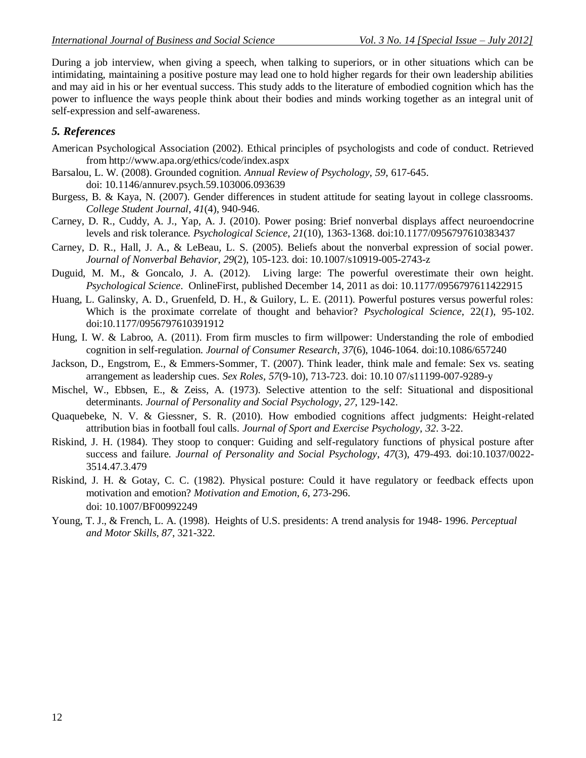During a job interview, when giving a speech, when talking to superiors, or in other situations which can be intimidating, maintaining a positive posture may lead one to hold higher regards for their own leadership abilities and may aid in his or her eventual success. This study adds to the literature of embodied cognition which has the power to influence the ways people think about their bodies and minds working together as an integral unit of self-expression and self-awareness.

### *5. References*

- American Psychological Association (2002). Ethical principles of psychologists and code of conduct. Retrieved from http://www.apa.org/ethics/code/index.aspx
- Barsalou, L. W. (2008). Grounded cognition. *Annual Review of Psychology*, *59*, 617-645. doi: 10.1146/annurev.psych.59.103006.093639
- Burgess, B. & Kaya, N. (2007). Gender differences in student attitude for seating layout in college classrooms. *College Student Journal*, *41*(4), 940-946.
- Carney, D. R., Cuddy, A. J., Yap, A. J. (2010). Power posing: Brief nonverbal displays affect neuroendocrine levels and risk tolerance. *Psychological Science*, *21*(10), 1363-1368. doi:10.1177/0956797610383437
- Carney, D. R., Hall, J. A., & LeBeau, L. S. (2005). Beliefs about the nonverbal expression of social power. *Journal of Nonverbal Behavior*, *29*(2), 105-123. doi: 10.1007/s10919-005-2743-z
- Duguid, M. M., & Goncalo, J. A. (2012). Living large: The powerful overestimate their own height. *Psychological Science*. OnlineFirst, published December 14, 2011 as doi: 10.1177/0956797611422915
- Huang, L. Galinsky, A. D., Gruenfeld, D. H., & Guilory, L. E. (2011). Powerful postures versus powerful roles: Which is the proximate correlate of thought and behavior? *Psychological Science*, 22(*1*), 95-102. doi:10.1177/0956797610391912
- Hung, I. W. & Labroo, A. (2011). From firm muscles to firm willpower: Understanding the role of embodied cognition in self-regulation. *Journal of Consumer Research*, *37*(6), 1046-1064. doi:10.1086/657240
- Jackson, D., Engstrom, E., & Emmers-Sommer, T. (2007). Think leader, think male and female: Sex vs. seating arrangement as leadership cues. *Sex Roles*, *57*(9-10), 713-723. doi: 10.10 07/s11199-007-9289-y
- Mischel, W., Ebbsen, E., & Zeiss, A. (1973). Selective attention to the self: Situational and dispositional determinants. *Journal of Personality and Social Psychology*, *27*, 129-142.
- Quaquebeke, N. V. & Giessner, S. R. (2010). How embodied cognitions affect judgments: Height-related attribution bias in football foul calls. *Journal of Sport and Exercise Psychology*, *32*. 3-22.
- Riskind, J. H. (1984). They stoop to conquer: Guiding and self-regulatory functions of physical posture after success and failure. *Journal of Personality and Social Psychology*, *47*(3), 479-493. doi:10.1037/0022- 3514.47.3.479
- Riskind, J. H. & Gotay, C. C. (1982). Physical posture: Could it have regulatory or feedback effects upon motivation and emotion? *Motivation and Emotion*, *6*, 273-296. doi: 10.1007/BF00992249
- Young, T. J., & French, L. A. (1998). Heights of U.S. presidents: A trend analysis for 1948- 1996. *Perceptual and Motor Skills, 87*, 321-322.